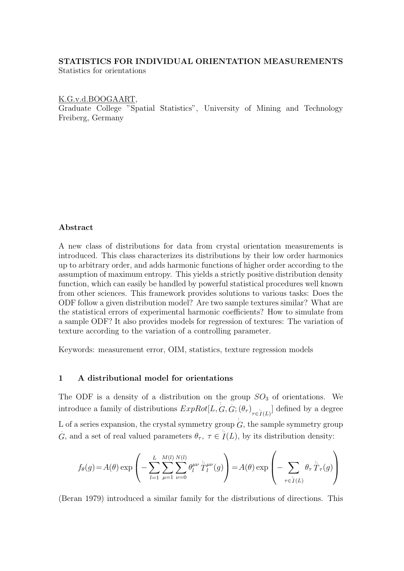## STATISTICS FOR INDIVIDUAL ORIENTATION MEASUREMENTS

Statistics for orientations

## K.G.v.d.BOOGAART,

Graduate College "Spatial Statistics", University of Mining and Technology Freiberg, Germany

## Abstract

A new class of distributions for data from crystal orientation measurements is introduced. This class characterizes its distributions by their low order harmonics up to arbitrary order, and adds harmonic functions of higher order according to the assumption of maximum entropy. This yields a strictly positive distribution density function, which can easily be handled by powerful statistical procedures well known from other sciences. This framework provides solutions to various tasks: Does the ODF follow a given distribution model? Are two sample textures similar? What are the statistical errors of experimental harmonic coefficients? How to simulate from a sample ODF? It also provides models for regression of textures: The variation of texture according to the variation of a controlling parameter.

Keywords: measurement error, OIM, statistics, texture regression models

## 1 A distributional model for orientations

The ODF is a density of a distribution on the group  $SO_3$  of orientations. We introduce a family of distributions  $ExpRot[L, G, G; (\theta_{\tau})_{\tau \in I(L)}]$  defined by a degree L of a series expansion, the crystal symmetry group  $\overleftrightarrow{G}$ , the sample symmetry group G, and a set of real valued parameters  $\theta_{\tau}$ ,  $\tau \in I(L)$ , by its distribution density:

$$
f_{\theta}(g) = A(\theta) \exp \left(-\sum_{l=1}^{L} \sum_{\mu=1}^{M(l)} \sum_{\nu=0}^{N(l)} \theta_l^{\mu\nu} \dot{\tilde{T}}_l^{\mu\nu}(g)\right) = A(\theta) \exp \left(-\sum_{\tau \in I(L)} \theta_{\tau} \dot{\tilde{T}}_{\tau}(g)\right)
$$

(Beran 1979) introduced a similar family for the distributions of directions. This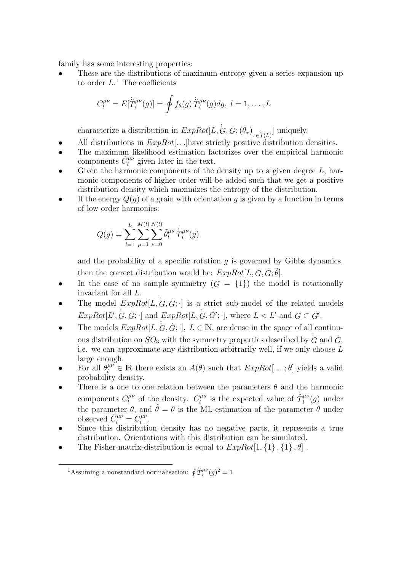family has some interesting properties:

These are the distributions of maximum entropy given a series expansion up to order  $L^1$ . The coefficients

$$
C_l^{\mu\nu} = E[\dot{T}_l^{\mu\nu}(g)] = \oint f_\theta(g) \dot{\dot{T}}_l^{\mu\nu}(g) dg, \ l = 1, \dots, L
$$

characterize a distribution in  $ExpRot[L, G, G; (\theta_{\tau})_{\tau \in \mathcal{I}(L)}]$  uniquely.

- All distributions in  $ExpRot[...]$  have strictly positive distribution densities.
- The maximum likelihood estimation factorizes over the empirical harmonic components  $\hat{C}^{\mu\nu}_l$  given later in the text.
- Given the harmonic components of the density up to a given degree  $L$ , harmonic components of higher order will be added such that we get a positive distribution density which maximizes the entropy of the distribution.
- If the energy  $Q(q)$  of a grain with orientation q is given by a function in terms of low order harmonics:

$$
Q(g) = \sum_{l=1}^{L} \sum_{\mu=1}^{M(l)} \sum_{\nu=0}^{N(l)} \tilde{\theta}_{l}^{\mu\nu} \, \dot{\tilde{T}}_{l}^{\mu\nu}(g)
$$

and the probability of a specific rotation  $q$  is governed by Gibbs dynamics, then the correct distribution would be:  $ExpRot[L, G, G; \tilde{\theta}]$ .

- In the case of no sample symmetry  $(G = \{1\})$  the model is rotationally invariant for all L.
- The model  $ExpRot[L, G, G; \cdot]$  is a strict sub-model of the related models  $ExpRot[L', G, G; \cdot]$  and  $ExpRot[L, G, \cdot]$  $G';$  where  $L < L'$  and  $G \subset G'$ .
- The models  $ExpRot[L, G, G; \cdot], L \in \mathbb{N}$ , are dense in the space of all continuous distribution on  $SO_3$  with the symmetry properties described by  $G$  and  $G$ , i.e. we can approximate any distribution arbitrarily well, if we only choose L large enough.
- For all  $\theta_l^{\mu\nu} \in \mathbb{R}$  there exists an  $A(\theta)$  such that  $ExpRot[...;\theta]$  yields a valid probability density.
- There is a one to one relation between the parameters  $\theta$  and the harmonic components  $C_l^{\mu\nu}$  $l_l^{\mu\nu}$  of the density.  $C_l^{\mu\nu}$  $\int_l^{\mu\nu}$  is the expected value of  $\hat{T}_l^{\mu\nu}$  $\int_l^{\mu\nu} (g)$  under the parameter  $\theta$ , and  $\hat{\theta} = \theta$  is the ML-estimation of the parameter  $\theta$  under observed  $\hat{C}_l^{\mu\nu} = C_l^{\mu\nu}$  $_{l}^{\mu \nu }.$
- Since this distribution density has no negative parts, it represents a true distribution. Orientations with this distribution can be simulated.
- The Fisher-matrix-distribution is equal to  $ExpRot[1, {1}, {1}, {\theta}]$ .

<sup>&</sup>lt;sup>1</sup>Assuming a nonstandard normalisation:  $\oint \ddot{T}_l^{\mu\nu}(g)^2 = 1$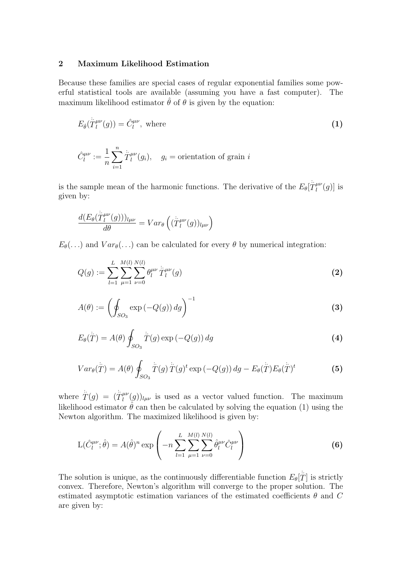# 2 Maximum Likelihood Estimation

Because these families are special cases of regular exponential families some powerful statistical tools are available (assuming you have a fast computer). The maximum likelihood estimator  $\hat{\theta}$  of  $\theta$  is given by the equation:

$$
E_{\hat{\theta}}(\dot{T}_l^{\mu\nu}(g)) = \hat{C}_l^{\mu\nu}, \text{ where}
$$
 (1)

$$
\hat{C}_l^{\mu\nu} := \frac{1}{n} \sum_{i=1}^n \hat{T}_l^{\mu\nu}(g_i), \quad g_i = \text{orientation of grain } i
$$

is the sample mean of the harmonic functions. The derivative of the  $E_{\theta}[\hat{\ddot{T}}_l^{\mu\nu}]$  $\binom{\mu\nu}{l}(g)$  is given by:

$$
\frac{d(E_{\theta}(\overset{\cdot}{T}\,{}_{l}^{\mu\nu}(g)))_{l\mu\nu}}{d\theta}=Var_{\theta}\left((\overset{\cdot}{T}\,{}_{l}^{\mu\nu}(g))_{l\mu\nu}\right)
$$

 $E_{\theta}(\ldots)$  and  $Var_{\theta}(\ldots)$  can be calculated for every  $\theta$  by numerical integration:

$$
Q(g) := \sum_{l=1}^{L} \sum_{\mu=1}^{M(l)} \sum_{\nu=0}^{N(l)} \theta_l^{\mu\nu} \, \dot{\tilde{T}}_l^{\mu\nu}(g)
$$
 (2)

$$
A(\theta) := \left(\oint_{SO_3} \exp(-Q(g)) \, dg\right)^{-1} \tag{3}
$$

$$
E_{\theta}(\mathring{T}) = A(\theta) \oint_{SO_3} \mathring{T}(g) \exp(-Q(g)) \, dg \tag{4}
$$

$$
Var_{\theta}(\overset{\cdot}{T}) = A(\theta) \oint_{SO_3} \overset{\cdot}{T}(g) \overset{\cdot}{T}(g)^t \exp\left(-Q(g)\right) dg - E_{\theta}(\overset{\cdot}{T}) E_{\theta}(\overset{\cdot}{T})^t \tag{5}
$$

where  $\dot{\tilde{T}}(g) = (\dot{\tilde{T}}_l^{\mu\nu})$  $\ell_l^{\mu\nu}(g)_{l\mu\nu}$  is used as a vector valued function. The maximum likelihood estimator  $\hat{\theta}$  can then be calculated by solving the equation (1) using the Newton algorithm. The maximized likelihood is given by:

$$
L(\hat{C}_l^{\mu\nu}; \hat{\theta}) = A(\hat{\theta})^n \exp\left(-n \sum_{l=1}^L \sum_{\mu=1}^{M(l)} \sum_{\nu=0}^{N(l)} \hat{\theta}_l^{\mu\nu} \hat{C}_l^{\mu\nu}\right)
$$
(6)

The solution is unique, as the continuously differentiable function  $E_{\theta}[\dot{\ddot{T}}]$  is strictly convex. Therefore, Newton's algorithm will converge to the proper solution. The estimated asymptotic estimation variances of the estimated coefficients  $\theta$  and C are given by: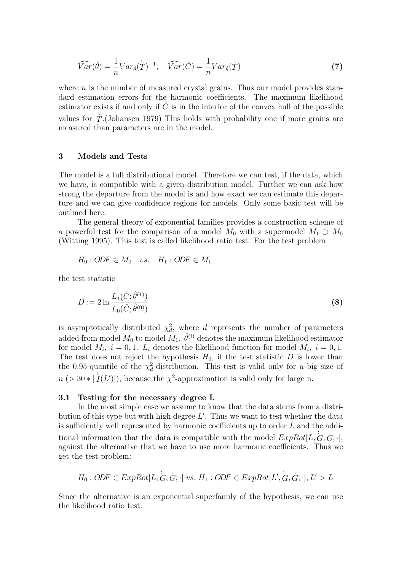$$
\widehat{Var}(\hat{\theta}) = \frac{1}{n} Var_{\hat{\theta}}(\hat{T})^{-1}, \quad \widehat{Var}(\hat{C}) = \frac{1}{n} Var_{\hat{\theta}}(\hat{T})
$$
\n(7)

where  $n$  is the number of measured crystal grains. Thus our model provides standard estimation errors for the harmonic coefficients. The maximum likelihood estimator exists if and only if  $C$  is in the interior of the convex hull of the possible values for  $T$ .(Johansen 1979) This holds with probability one if more grains are measured than parameters are in the model.

#### 3 Models and Tests

The model is a full distributional model. Therefore we can test, if the data, which we have, is compatible with a given distribution model. Further we can ask how strong the departure from the model is and how exact we can estimate this departure and we can give confidence regions for models. Only some basic test will be outlined here.

The general theory of exponential families provides a construction scheme of a powerful test for the comparison of a model  $M_0$  with a supermodel  $M_1 \supset M_0$ (Witting 1995). This test is called likelihood ratio test. For the test problem

$$
H_0: O\!D\!F \in M_0 \quad vs. \quad H_1: O\!D\!F \in M_1
$$

the test statistic

$$
D := 2 \ln \frac{L_1(\hat{C}; \hat{\theta}^{(1)})}{L_0(\hat{C}; \hat{\theta}^{(0)})}
$$
(8)

is asymptotically distributed  $\chi_d^2$ , where d represents the number of parameters added from model  $M_0$  to model  $M_1$ .  $\hat{\theta}^{(i)}$  denotes the maximum likelihood estimator for model  $M_i$ ,  $i = 0, 1$ .  $L_i$  denotes the likelihood function for model  $M_i$ ,  $i = 0, 1$ . The test does not reject the hypothesis  $H_0$ , if the test statistic  $D$  is lower than the 0.95-quantile of the  $\chi_d^2$ -distribution. This test is valid only for a big size of  $n (> 30 * |I(L')|)$ , because the  $\chi^2$ -approximation is valid only for large n.

#### 3.1 Testing for the necessary degree L

In the most simple case we assume to know that the data stems from a distribution of this type but with high degree  $L'$ . Thus we want to test whether the data is sufficiently well represented by harmonic coefficients up to order L and the additional information that the data is compatible with the model  $ExpRot[L, G, G; \cdot]$ , against the alternative that we have to use more harmonic coefficients. Thus we get the test problem:

$$
H_0: ODF \in ExpRot[L, G, G; \cdot] vs. H_1: ODF \in ExpRot[L', G, G; \cdot], L' > L
$$

Since the alternative is an exponential superfamily of the hypothesis, we can use the likelihood ratio test.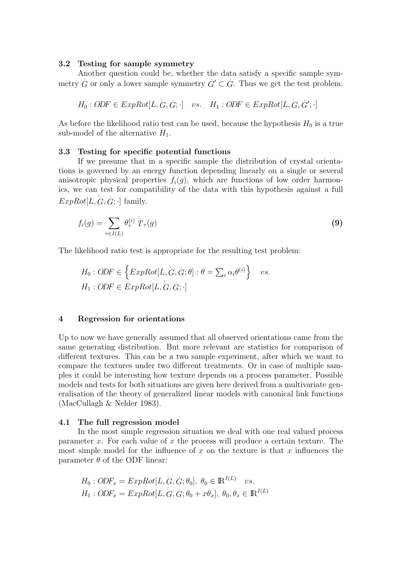### 3.2 Testing for sample symmetry

Another question could be, whether the data satisfy a specific sample symmetry  $\hat{G}$  or only a lower sample symmetry  $\hat{G}' \subseteq \hat{G}$ . Thus we get the test problem:

$$
H_0: O\!D\!F \in ExpRot[L, G, G; \cdot] \quad vs. \quad H_1: O\!D\!F \in ExpRot[L, G, G'; \cdot]
$$

As before the likelihood ratio test can be used, because the hypothesis  $H_0$  is a true sub-model of the alternative  $H_1$ .

#### 3.3 Testing for specific potential functions

If we presume that in a specific sample the distribution of crystal orientations is governed by an energy function depending linearly on a single or several anisotropic physical properties  $f_i(g)$ , which are functions of low order harmonics, we can test for compatibility of the data with this hypothesis against a full  $ExpRot[L, G, G; \cdot]$  family.

$$
f_i(g) = \sum_{\tau \in I(L)} \theta_{\tau}^{(i)} \stackrel{\cdots}{T}_{\tau}(g)
$$
\n(9)

The likelihood ratio test is appropriate for the resulting test problem:

$$
H_0: ODF \in \left\{ ExpRot[L, G, G; \theta] : \theta = \sum_i \alpha_i \theta^{(i)} \right\} \quad vs.
$$
  

$$
H_1: ODF \in ExpRot[L, G, G; \cdot]
$$

#### 4 Regression for orientations

Up to now we have generally assumed that all observed orientations came from the same generating distribution. But more relevant are statistics for comparison of different textures. This can be a two sample experiment, after which we want to compare the textures under two different treatments. Or in case of multiple samples it could be interesting how texture depends on a process parameter. Possible models and tests for both situations are given here derived from a multivariate generalisation of the theory of generalized linear models with canonical link functions (MacCullagh & Nelder 1983).

#### 4.1 The full regression model

In the most simple regression situation we deal with one real valued process parameter x. For each value of x the process will produce a certain texture. The most simple model for the influence of  $x$  on the texture is that  $x$  influences the parameter  $\theta$  of the ODF linear:

$$
H_0: ODF_x = ExpRot[L, G, G; \theta_0], \ \theta_0 \in \mathbb{R}^{I(L)} \quad vs.
$$
  

$$
H_1: ODF_x = ExpRot[L, G, G; \theta_0 + x\theta_x], \ \theta_0, \theta_x \in \mathbb{R}^{I(L)}
$$